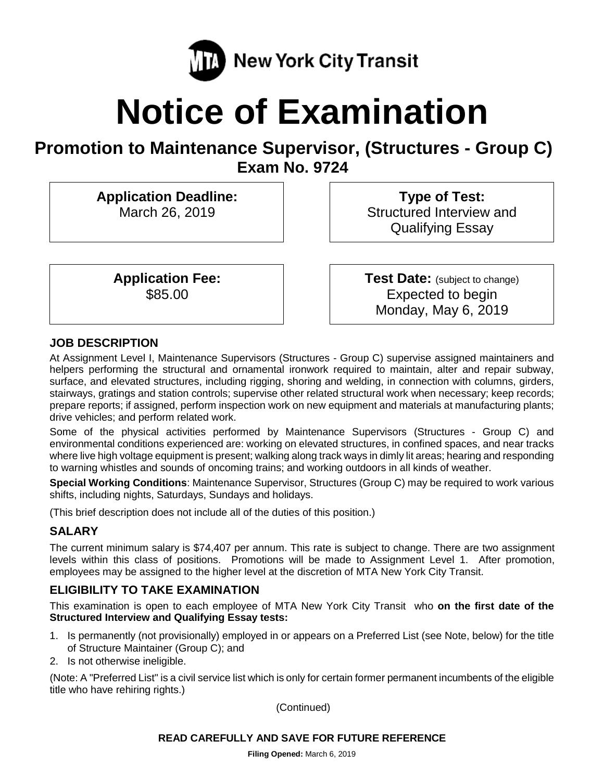

# **Notice of Examination**

# **Promotion to Maintenance Supervisor, (Structures - Group C) Exam No. 9724**

**Application Deadline:** March 26, 2019

> **Application Fee:** \$85.00

**Type of Test:**  Structured Interview and Qualifying Essay

**Test Date:** (subject to change) Expected to begin Monday, May 6, 2019

# **JOB DESCRIPTION**

At Assignment Level I, Maintenance Supervisors (Structures - Group C) supervise assigned maintainers and helpers performing the structural and ornamental ironwork required to maintain, alter and repair subway, surface, and elevated structures, including rigging, shoring and welding, in connection with columns, girders, stairways, gratings and station controls; supervise other related structural work when necessary; keep records; prepare reports; if assigned, perform inspection work on new equipment and materials at manufacturing plants; drive vehicles; and perform related work.

Some of the physical activities performed by Maintenance Supervisors (Structures - Group C) and environmental conditions experienced are: working on elevated structures, in confined spaces, and near tracks where live high voltage equipment is present; walking along track ways in dimly lit areas; hearing and responding to warning whistles and sounds of oncoming trains; and working outdoors in all kinds of weather.

**Special Working Conditions**: Maintenance Supervisor, Structures (Group C) may be required to work various shifts, including nights, Saturdays, Sundays and holidays.

(This brief description does not include all of the duties of this position.)

# **SALARY**

The current minimum salary is \$74,407 per annum. This rate is subject to change. There are two assignment levels within this class of positions. Promotions will be made to Assignment Level 1. After promotion, employees may be assigned to the higher level at the discretion of MTA New York City Transit.

# **ELIGIBILITY TO TAKE EXAMINATION**

This examination is open to each employee of MTA New York City Transit who **on the first date of the Structured Interview and Qualifying Essay tests:**

- 1. Is permanently (not provisionally) employed in or appears on a Preferred List (see Note, below) for the title of Structure Maintainer (Group C); and
- 2. Is not otherwise ineligible.

(Note: A "Preferred List" is a civil service list which is only for certain former permanent incumbents of the eligible title who have rehiring rights.)

(Continued)

#### **READ CAREFULLY AND SAVE FOR FUTURE REFERENCE**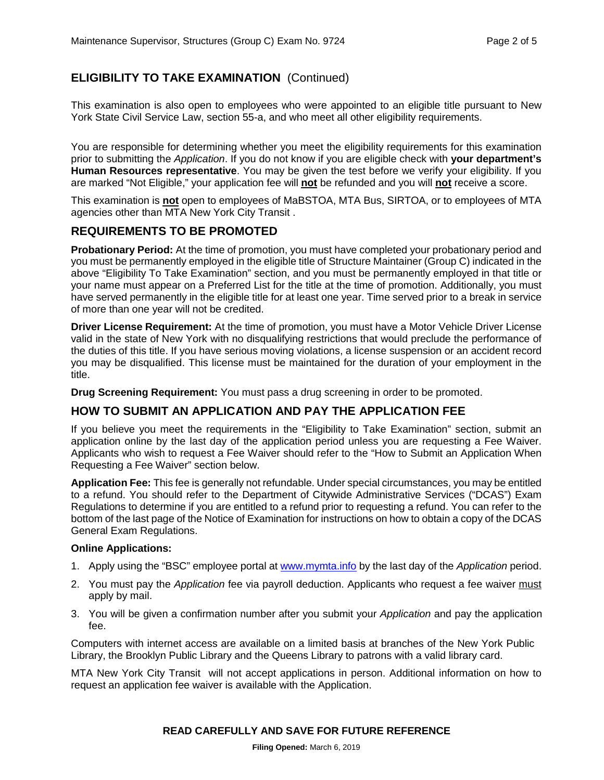# **ELIGIBILITY TO TAKE EXAMINATION** (Continued)

This examination is also open to employees who were appointed to an eligible title pursuant to New York State Civil Service Law, section 55-a, and who meet all other eligibility requirements.

You are responsible for determining whether you meet the eligibility requirements for this examination prior to submitting the *Application*. If you do not know if you are eligible check with **your department's Human Resources representative**. You may be given the test before we verify your eligibility. If you are marked "Not Eligible," your application fee will **not** be refunded and you will **not** receive a score.

This examination is **not** open to employees of MaBSTOA, MTA Bus, SIRTOA, or to employees of MTA agencies other than MTA New York City Transit .

#### **REQUIREMENTS TO BE PROMOTED**

**Probationary Period:** At the time of promotion, you must have completed your probationary period and you must be permanently employed in the eligible title of Structure Maintainer (Group C) indicated in the above "Eligibility To Take Examination" section, and you must be permanently employed in that title or your name must appear on a Preferred List for the title at the time of promotion. Additionally, you must have served permanently in the eligible title for at least one year. Time served prior to a break in service of more than one year will not be credited.

**Driver License Requirement:** At the time of promotion, you must have a Motor Vehicle Driver License valid in the state of New York with no disqualifying restrictions that would preclude the performance of the duties of this title. If you have serious moving violations, a license suspension or an accident record you may be disqualified. This license must be maintained for the duration of your employment in the title.

**Drug Screening Requirement:** You must pass a drug screening in order to be promoted.

#### **HOW TO SUBMIT AN APPLICATION AND PAY THE APPLICATION FEE**

If you believe you meet the requirements in the "Eligibility to Take Examination" section, submit an application online by the last day of the application period unless you are requesting a Fee Waiver. Applicants who wish to request a Fee Waiver should refer to the "How to Submit an Application When Requesting a Fee Waiver" section below.

**Application Fee:** This fee is generally not refundable. Under special circumstances, you may be entitled to a refund. You should refer to the Department of Citywide Administrative Services ("DCAS") Exam Regulations to determine if you are entitled to a refund prior to requesting a refund. You can refer to the bottom of the last page of the Notice of Examination for instructions on how to obtain a copy of the DCAS General Exam Regulations.

#### **Online Applications:**

- 1. Apply using the "BSC" employee portal at [www.mymta.info](http://www.mymta.info/) by the last day of the *Application* period.
- 2. You must pay the *Application* fee via payroll deduction. Applicants who request a fee waiver must apply by mail.
- 3. You will be given a confirmation number after you submit your *Application* and pay the application fee.

Computers with internet access are available on a limited basis at branches of the New York Public Library, the Brooklyn Public Library and the Queens Library to patrons with a valid library card.

MTA New York City Transit will not accept applications in person. Additional information on how to request an application fee waiver is available with the Application.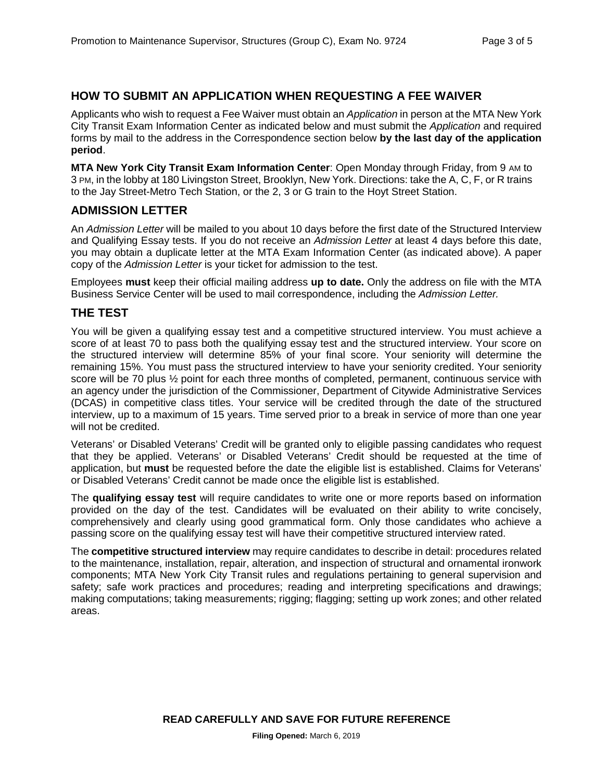#### **HOW TO SUBMIT AN APPLICATION WHEN REQUESTING A FEE WAIVER**

Applicants who wish to request a Fee Waiver must obtain an *Application* in person at the MTA New York City Transit Exam Information Center as indicated below and must submit the *Application* and required forms by mail to the address in the Correspondence section below **by the last day of the application period**.

**MTA New York City Transit Exam Information Center**: Open Monday through Friday, from 9 AM to 3 PM, in the lobby at 180 Livingston Street, Brooklyn, New York. Directions: take the A, C, F, or R trains to the Jay Street-Metro Tech Station, or the 2, 3 or G train to the Hoyt Street Station.

#### **ADMISSION LETTER**

An *Admission Letter* will be mailed to you about 10 days before the first date of the Structured Interview and Qualifying Essay tests. If you do not receive an *Admission Letter* at least 4 days before this date, you may obtain a duplicate letter at the MTA Exam Information Center (as indicated above). A paper copy of the *Admission Letter* is your ticket for admission to the test.

Employees **must** keep their official mailing address **up to date.** Only the address on file with the MTA Business Service Center will be used to mail correspondence, including the *Admission Letter.*

#### **THE TEST**

You will be given a qualifying essay test and a competitive structured interview. You must achieve a score of at least 70 to pass both the qualifying essay test and the structured interview. Your score on the structured interview will determine 85% of your final score. Your seniority will determine the remaining 15%. You must pass the structured interview to have your seniority credited. Your seniority score will be 70 plus ½ point for each three months of completed, permanent, continuous service with an agency under the jurisdiction of the Commissioner, Department of Citywide Administrative Services (DCAS) in competitive class titles. Your service will be credited through the date of the structured interview, up to a maximum of 15 years. Time served prior to a break in service of more than one year will not be credited.

Veterans' or Disabled Veterans' Credit will be granted only to eligible passing candidates who request that they be applied. Veterans' or Disabled Veterans' Credit should be requested at the time of application, but **must** be requested before the date the eligible list is established. Claims for Veterans' or Disabled Veterans' Credit cannot be made once the eligible list is established.

The **qualifying essay test** will require candidates to write one or more reports based on information provided on the day of the test. Candidates will be evaluated on their ability to write concisely, comprehensively and clearly using good grammatical form. Only those candidates who achieve a passing score on the qualifying essay test will have their competitive structured interview rated.

The **competitive structured interview** may require candidates to describe in detail: procedures related to the maintenance, installation, repair, alteration, and inspection of structural and ornamental ironwork components; MTA New York City Transit rules and regulations pertaining to general supervision and safety; safe work practices and procedures; reading and interpreting specifications and drawings; making computations; taking measurements; rigging; flagging; setting up work zones; and other related areas.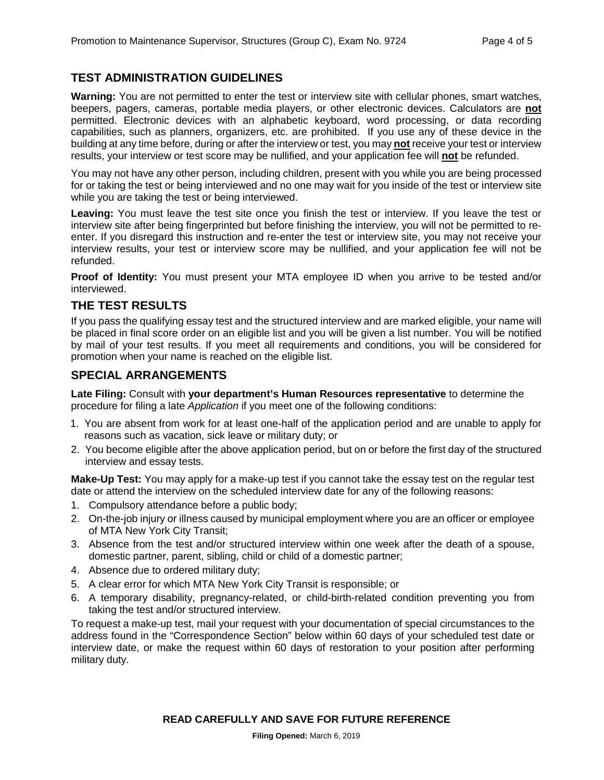# **TEST ADMINISTRATION GUIDELINES**

**Warning:** You are not permitted to enter the test or interview site with cellular phones, smart watches, beepers, pagers, cameras, portable media players, or other electronic devices. Calculators are **not** permitted. Electronic devices with an alphabetic keyboard, word processing, or data recording capabilities, such as planners, organizers, etc. are prohibited. If you use any of these device in the building at any time before, during or after the interview or test, you may **not** receive your test or interview results, your interview or test score may be nullified, and your application fee will **not** be refunded.

You may not have any other person, including children, present with you while you are being processed for or taking the test or being interviewed and no one may wait for you inside of the test or interview site while you are taking the test or being interviewed.

**Leaving:** You must leave the test site once you finish the test or interview. If you leave the test or interview site after being fingerprinted but before finishing the interview, you will not be permitted to reenter. If you disregard this instruction and re-enter the test or interview site, you may not receive your interview results, your test or interview score may be nullified, and your application fee will not be refunded.

**Proof of Identity:** You must present your MTA employee ID when you arrive to be tested and/or interviewed.

#### **THE TEST RESULTS**

If you pass the qualifying essay test and the structured interview and are marked eligible, your name will be placed in final score order on an eligible list and you will be given a list number. You will be notified by mail of your test results. If you meet all requirements and conditions, you will be considered for promotion when your name is reached on the eligible list.

# **SPECIAL ARRANGEMENTS**

**Late Filing:** Consult with **your department's Human Resources representative** to determine the procedure for filing a late *Application* if you meet one of the following conditions:

- 1. You are absent from work for at least one-half of the application period and are unable to apply for reasons such as vacation, sick leave or military duty; or
- 2. You become eligible after the above application period, but on or before the first day of the structured interview and essay tests.

**Make-Up Test:** You may apply for a make-up test if you cannot take the essay test on the regular test date or attend the interview on the scheduled interview date for any of the following reasons:

- 1. Compulsory attendance before a public body;
- 2. On-the-job injury or illness caused by municipal employment where you are an officer or employee of MTA New York City Transit;
- 3. Absence from the test and/or structured interview within one week after the death of a spouse, domestic partner, parent, sibling, child or child of a domestic partner;
- 4. Absence due to ordered military duty;
- 5. A clear error for which MTA New York City Transit is responsible; or
- 6. A temporary disability, pregnancy-related, or child-birth-related condition preventing you from taking the test and/or structured interview.

To request a make-up test, mail your request with your documentation of special circumstances to the address found in the "Correspondence Section" below within 60 days of your scheduled test date or interview date, or make the request within 60 days of restoration to your position after performing military duty.